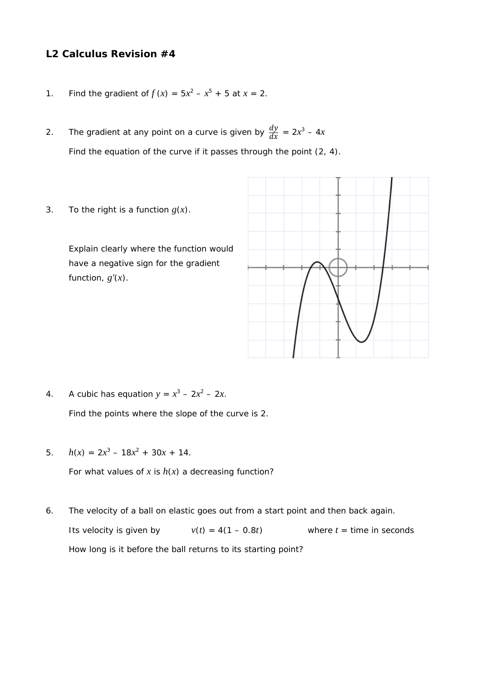## **L2 Calculus Revision #4**

- 1. Find the gradient of  $f(x) = 5x^2 x^5 + 5$  at  $x = 2$ .
- 2. The gradient at any point on a curve is given by  $\frac{dy}{dx} = 2x^3 4x$ Find the equation of the curve if it passes through the point (2, 4).
- 3. To the right is a function  $g(x)$ .

 Explain clearly where the function would have a negative sign for the gradient function, *g'*(*x*).



4. A cubic has equation  $y = x^3 - 2x^2 - 2x$ .

Find the points where the slope of the curve is 2.

5.  $h(x) = 2x^3 - 18x^2 + 30x + 14$ .

For what values of  $x$  is  $h(x)$  a decreasing function?

6. The velocity of a ball on elastic goes out from a start point and then back again. Its velocity is given by  $v(t) = 4(1 - 0.8t)$  where  $t =$  time in seconds How long is it before the ball returns to its starting point?